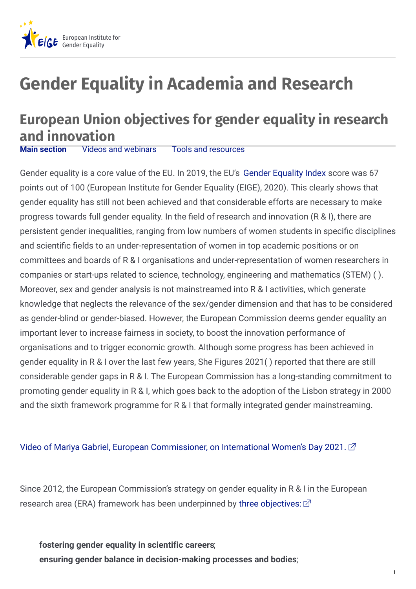

## **Gender Equality in Academia and Research**

## **European Union objectives for gender equality in research and innovation**<br>**Main section** Videos and webinars

**Main [section](https://eige.europa.eu/gender-mainstreaming/toolkits/gear/gender-equality-research-and-innovation#panel3-1)** Videos and [webinars](https://eige.europa.eu/gender-mainstreaming/toolkits/gear/gender-equality-research-and-innovation#panel3-2) Tools and [resources](https://eige.europa.eu/gender-mainstreaming/toolkits/gear/gender-equality-research-and-innovation#panel3-3)

Gender equality is a core value of the EU. In 2019, the EU's Gender [Equality](https://eige.europa.eu/gender-equality-index/2021/DE) Index score was 67 points out of 100 (European Institute for Gender Equality (EIGE), 2020). This clearly shows that gender equality has still not been achieved and that considerable efforts are necessary to make progress towards full gender equality. In the field of research and innovation (R & I), there are persistent gender inequalities, ranging from low numbers of women students in specific disciplines and scientific fields to an under-representation of women in top academic positions or on committees and boards of R & I organisations and under-representation of women researchers in companies or start-ups related to science, technology, engineering and mathematics (STEM) ( ). Moreover, sex and gender analysis is not mainstreamed into R & I activities, which generate knowledge that neglects the relevance of the sex/gender dimension and that has to be considered as gender-blind or gender-biased. However, the European Commission deems gender equality an important lever to increase fairness in society, to boost the innovation performance of organisations and to trigger economic growth. Although some progress has been achieved in gender equality in R & I over the last few years, She Figures 2021( ) reported that there are still considerable gender gaps in R & I. The European Commission has a long-standing commitment to promoting gender equality in R & I, which goes back to the adoption of the Lisbon strategy in 2000 and the sixth framework programme for R & I that formally integrated gender mainstreaming.

## Video of Mariya Gabriel, European [Commissioner,](https://audiovisual.ec.europa.eu/en/video/I-202369) on International Women's Day 2021.  $\vec{\alpha}$

Since 2012, the European Commission's strategy on gender equality in R & I in the European research area (ERA) framework has been underpinned by three [objectives:](http:)  $\vec{\alpha}$ 

**fostering gender equality in scientific careers**; **ensuring gender balance in decision-making processes and bodies**;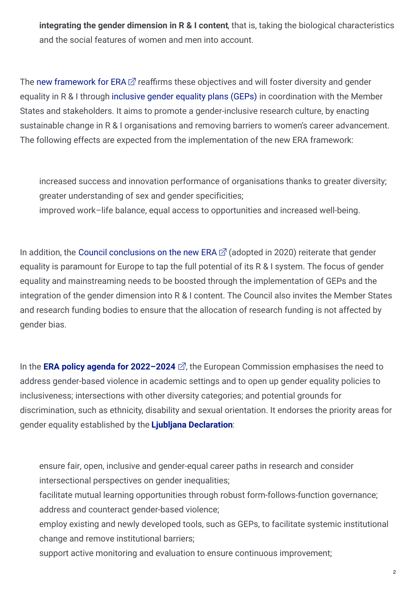**integrating the gender dimension in R & I content**, that is, taking the biological characteristics and the social features of women and men into account.

The new [framework](https://eur-lex.europa.eu/legal-content/EN/TXT/?uri=COM%3A2020%3A628%3AFIN) for ERA  $\mathbb Z$  reaffirms these objectives and will foster diversity and gender equality in R & I through [inclusive](https://eige.europa.eu/gender-mainstreaming/toolkits/gear/what-gender-equality-plan-gep) gender equality plans (GEPs) in coordination with the Member States and stakeholders. It aims to promote a gender-inclusive research culture, by enacting sustainable change in R & I organisations and removing barriers to women's career advancement. The following effects are expected from the implementation of the new ERA framework:

increased success and innovation performance of organisations thanks to greater diversity; greater understanding of sex and gender specificities;

improved work–life balance, equal access to opportunities and increased well-being.

In addition, the Council [conclusions](https://data.consilium.europa.eu/doc/document/ST-13567-2020-INIT/en/pdf) on the new ERA  $\vec{\alpha}$  (adopted in 2020) reiterate that gender equality is paramount for Europe to tap the full potential of its R & I system. The focus of gender equality and mainstreaming needs to be boosted through the implementation of GEPs and the integration of the gender dimension into R & I content. The Council also invites the Member States and research funding bodies to ensure that the allocation of research funding is not affected by gender bias.

In the **ERA policy agenda for [2022–2024](https://ec.europa.eu/info/sites/default/files/research_and_innovation/strategy_on_research_and_innovation/documents/ec_rtd_era-policy-agenda-2021.pdf)**  $\vec{\alpha}$ , the European Commission emphasises the need to address gender-based violence in academic settings and to open up gender equality policies to inclusiveness; intersections with other diversity categories; and potential grounds for discrimination, such as ethnicity, disability and sexual orientation. It endorses the priority areas for gender equality established by the **Ljubljana [Declaration](https://data.consilium.europa.eu/doc/document/ST-12044-2021-INIT/en/pdf)**:

ensure fair, open, inclusive and gender-equal career paths in research and consider intersectional perspectives on gender inequalities;

facilitate mutual learning opportunities through robust form-follows-function governance; address and counteract gender-based violence;

employ existing and newly developed tools, such as GEPs, to facilitate systemic institutional change and remove institutional barriers;

support active monitoring and evaluation to ensure continuous improvement;